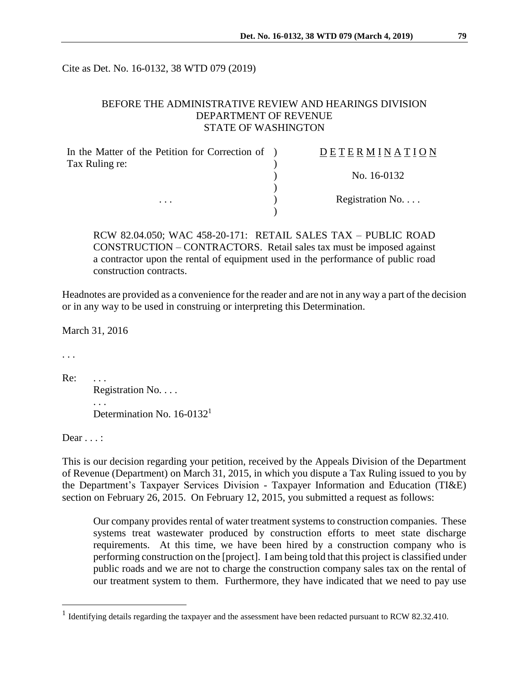Cite as Det. No. 16-0132, 38 WTD 079 (2019)

## BEFORE THE ADMINISTRATIVE REVIEW AND HEARINGS DIVISION DEPARTMENT OF REVENUE STATE OF WASHINGTON

| In the Matter of the Petition for Correction of ) | DETERMINATION   |
|---------------------------------------------------|-----------------|
| Tax Ruling re:                                    | No. 16-0132     |
| $\cdots$                                          |                 |
|                                                   | Registration No |
|                                                   |                 |

RCW 82.04.050; WAC 458-20-171: RETAIL SALES TAX – PUBLIC ROAD CONSTRUCTION – CONTRACTORS. Retail sales tax must be imposed against a contractor upon the rental of equipment used in the performance of public road construction contracts.

Headnotes are provided as a convenience for the reader and are not in any way a part of the decision or in any way to be used in construing or interpreting this Determination.

March 31, 2016

. . .

Re: ...

Registration No. . . . . . . Determination No. 16-0132<sup>1</sup>

Dear  $\ldots$ :

 $\overline{a}$ 

This is our decision regarding your petition, received by the Appeals Division of the Department of Revenue (Department) on March 31, 2015, in which you dispute a Tax Ruling issued to you by the Department's Taxpayer Services Division - Taxpayer Information and Education (TI&E) section on February 26, 2015. On February 12, 2015, you submitted a request as follows:

Our company provides rental of water treatment systems to construction companies. These systems treat wastewater produced by construction efforts to meet state discharge requirements. At this time, we have been hired by a construction company who is performing construction on the [project]. I am being told that this project is classified under public roads and we are not to charge the construction company sales tax on the rental of our treatment system to them. Furthermore, they have indicated that we need to pay use

<sup>&</sup>lt;sup>1</sup> Identifying details regarding the taxpayer and the assessment have been redacted pursuant to RCW 82.32.410.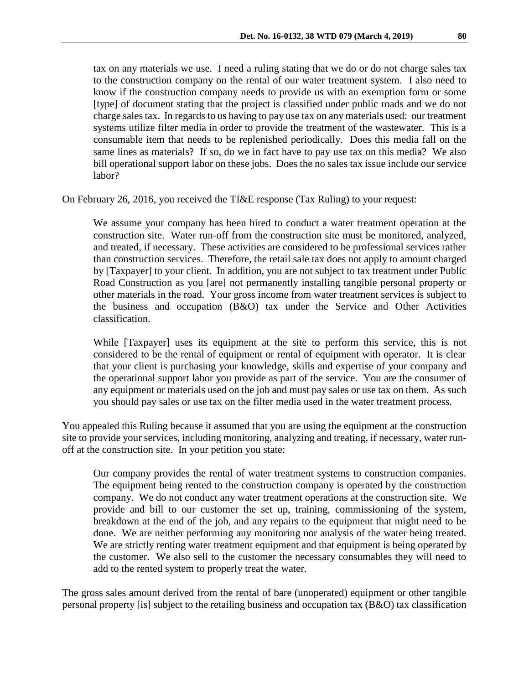tax on any materials we use. I need a ruling stating that we do or do not charge sales tax to the construction company on the rental of our water treatment system. I also need to know if the construction company needs to provide us with an exemption form or some [type] of document stating that the project is classified under public roads and we do not charge sales tax. In regards to us having to pay use tax on any materials used: our treatment systems utilize filter media in order to provide the treatment of the wastewater. This is a consumable item that needs to be replenished periodically. Does this media fall on the same lines as materials? If so, do we in fact have to pay use tax on this media? We also bill operational support labor on these jobs. Does the no sales tax issue include our service labor?

On February 26, 2016, you received the TI&E response (Tax Ruling) to your request:

We assume your company has been hired to conduct a water treatment operation at the construction site. Water run-off from the construction site must be monitored, analyzed, and treated, if necessary. These activities are considered to be professional services rather than construction services. Therefore, the retail sale tax does not apply to amount charged by [Taxpayer] to your client. In addition, you are not subject to tax treatment under Public Road Construction as you [are] not permanently installing tangible personal property or other materials in the road. Your gross income from water treatment services is subject to the business and occupation (B&O) tax under the Service and Other Activities classification.

While [Taxpayer] uses its equipment at the site to perform this service, this is not considered to be the rental of equipment or rental of equipment with operator. It is clear that your client is purchasing your knowledge, skills and expertise of your company and the operational support labor you provide as part of the service. You are the consumer of any equipment or materials used on the job and must pay sales or use tax on them. As such you should pay sales or use tax on the filter media used in the water treatment process.

You appealed this Ruling because it assumed that you are using the equipment at the construction site to provide your services, including monitoring, analyzing and treating, if necessary, water runoff at the construction site. In your petition you state:

Our company provides the rental of water treatment systems to construction companies. The equipment being rented to the construction company is operated by the construction company. We do not conduct any water treatment operations at the construction site. We provide and bill to our customer the set up, training, commissioning of the system, breakdown at the end of the job, and any repairs to the equipment that might need to be done. We are neither performing any monitoring nor analysis of the water being treated. We are strictly renting water treatment equipment and that equipment is being operated by the customer. We also sell to the customer the necessary consumables they will need to add to the rented system to properly treat the water.

The gross sales amount derived from the rental of bare (unoperated) equipment or other tangible personal property [is] subject to the retailing business and occupation tax (B&O) tax classification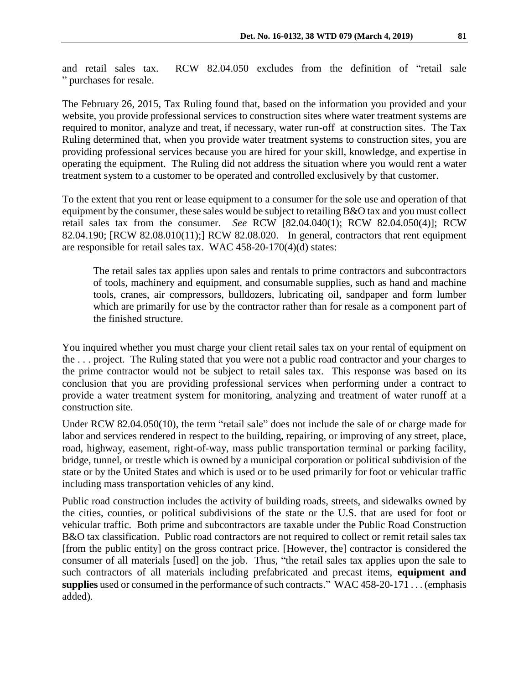and retail sales tax. RCW 82.04.050 excludes from the definition of "retail sale " purchases for resale.

The February 26, 2015, Tax Ruling found that, based on the information you provided and your website, you provide professional services to construction sites where water treatment systems are required to monitor, analyze and treat, if necessary, water run-off at construction sites. The Tax Ruling determined that, when you provide water treatment systems to construction sites, you are providing professional services because you are hired for your skill, knowledge, and expertise in operating the equipment. The Ruling did not address the situation where you would rent a water treatment system to a customer to be operated and controlled exclusively by that customer.

To the extent that you rent or lease equipment to a consumer for the sole use and operation of that equipment by the consumer, these sales would be subject to retailing B&O tax and you must collect retail sales tax from the consumer. *See* RCW [82.04.040(1); RCW 82.04.050(4)]; RCW 82.04.190; [RCW 82.08.010(11);] RCW 82.08.020. In general, contractors that rent equipment are responsible for retail sales tax. WAC 458-20-170(4)(d) states:

The retail sales tax applies upon sales and rentals to prime contractors and subcontractors of tools, machinery and equipment, and consumable supplies, such as hand and machine tools, cranes, air compressors, bulldozers, lubricating oil, sandpaper and form lumber which are primarily for use by the contractor rather than for resale as a component part of the finished structure.

You inquired whether you must charge your client retail sales tax on your rental of equipment on the . . . project. The Ruling stated that you were not a public road contractor and your charges to the prime contractor would not be subject to retail sales tax. This response was based on its conclusion that you are providing professional services when performing under a contract to provide a water treatment system for monitoring, analyzing and treatment of water runoff at a construction site.

Under RCW 82.04.050(10), the term "retail sale" does not include the sale of or charge made for labor and services rendered in respect to the building, repairing, or improving of any street, place, road, highway, easement, right-of-way, mass public transportation terminal or parking facility, bridge, tunnel, or trestle which is owned by a municipal corporation or political subdivision of the state or by the United States and which is used or to be used primarily for foot or vehicular traffic including mass transportation vehicles of any kind.

Public road construction includes the activity of building roads, streets, and sidewalks owned by the cities, counties, or political subdivisions of the state or the U.S. that are used for foot or vehicular traffic. Both prime and subcontractors are taxable under the Public Road Construction B&O tax classification. Public road contractors are not required to collect or remit retail sales tax [from the public entity] on the gross contract price. [However, the] contractor is considered the consumer of all materials [used] on the job. Thus, "the retail sales tax applies upon the sale to such contractors of all materials including prefabricated and precast items, **equipment and supplies** used or consumed in the performance of such contracts." WAC 458-20-171 . . . (emphasis added).